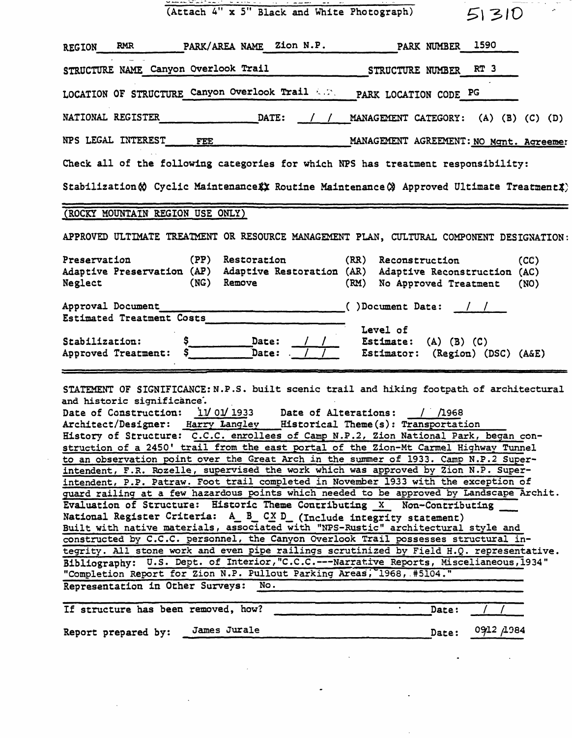| (Attach 4" x 5" Black and White Photograph)<br>51310                                                                                                                                                                          |  |  |  |  |  |  |
|-------------------------------------------------------------------------------------------------------------------------------------------------------------------------------------------------------------------------------|--|--|--|--|--|--|
| PARK/AREA NAME Zion N.P.<br>1590<br>PARK NUMBER<br>RMR<br><b>REGION</b>                                                                                                                                                       |  |  |  |  |  |  |
| STRUCTURE NAME Canyon Overlook Trail<br>RT <sub>3</sub><br><b>STRUCTURE NUMBER</b>                                                                                                                                            |  |  |  |  |  |  |
| LOCATION OF STRUCTURE Canyon Overlook Trail A.M.<br>PARK LOCATION CODE PG                                                                                                                                                     |  |  |  |  |  |  |
| NATIONAL REGISTER<br>DATE:<br>MANAGEMENT CATEGORY: (A) (B) (C) (D)                                                                                                                                                            |  |  |  |  |  |  |
| NPS LEGAL INTEREST<br>MANAGEMENT AGREEMENT: NO Mgnt. Agreemer<br>FEE                                                                                                                                                          |  |  |  |  |  |  |
| Check all of the following categories for which NPS has treatment responsibility:                                                                                                                                             |  |  |  |  |  |  |
| Stabilization (c) Cyclic Maintenance (x) Routine Maintenance (x) Approved Ultimate Treatment (x)                                                                                                                              |  |  |  |  |  |  |
| (ROCKY MOUNTAIN REGION USE ONLY)                                                                                                                                                                                              |  |  |  |  |  |  |
| APPROVED ULTIMATE TREATMENT OR RESOURCE MANAGEMENT PLAN, CULTURAL COMPONENT DESIGNATION:                                                                                                                                      |  |  |  |  |  |  |
| (PP)<br>Preservation<br>Restoration<br>(RR) Reconstruction<br>(CC)<br>Adaptive Preservation (AP) Adaptive Restoration (AR) Adaptive Reconstruction (AC)<br>(NG)<br>Remove<br>Neglect<br>(RM)<br>No Approved Treatment<br>(NO) |  |  |  |  |  |  |
| Approval Document<br>$( )$ Document Date: $/$ /                                                                                                                                                                               |  |  |  |  |  |  |
| Estimated Treatment Costs<br>Level of                                                                                                                                                                                         |  |  |  |  |  |  |

STATEMENT OF SIGNIFICANCE: N.P.S. built scenic trail and hiking footpath of architectural and historic significance'.

| Date of Construction: 11/01/1933<br>Date of Alterations: / /1968                         |
|------------------------------------------------------------------------------------------|
| Architect/Designer: Harry Langley Historical Theme(s): Transportation                    |
| History of Structure: C.C.C. enrollees of Camp N.P.2, Zion National Park, began con-     |
| struction of a 2450' trail from the east portal of the Zion-Mt Carmel Highway Tunnel     |
| to an observation point over the Great Arch in the summer of 1933. Camp N.P.2 Super-     |
| intendent, F.R. Rozelle, supervised the work which was approved by Zion N.P. Super-      |
| intendent, P.P. Patraw. Foot trail completed in November 1933 with the exception of      |
| quard railing at a few hazardous points which needed to be approved by Landscape Archit. |
| Evaluation of Structure: Historic Theme Contributing X Non-Contributing                  |
| National Register Criteria: A B CX D (Include integrity statement)                       |
| Built with native materials, associated with "NPS-Rustic" architectural style and        |
| constructed by C.C.C. personnel, the Canyon Overlook Trail possesses structural in-      |
| tegrity. All stone work and even pipe railings scrutinized by Field H.Q. representative. |
| Bibliography: U.S. Dept. of Interior, "C.C.C.---Narrative Reports, Miscelianeous, 1934"  |
| "Completion Report for Zion N.P. Pullout Parking Areas, 1968, #5104."                    |
| Representation in Other Surveys: No.                                                     |

| If structure has been removed, how? |  |              |  | Date: |           |
|-------------------------------------|--|--------------|--|-------|-----------|
| Report prepared by:                 |  | James Jurale |  | Date: | 0912 1984 |